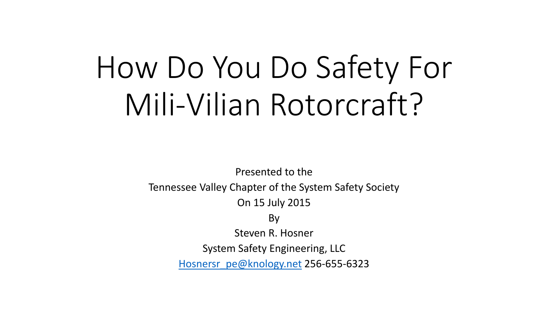### How Do You Do Safety For Mili-Vilian Rotorcraft?

Presented to the

Tennessee Valley Chapter of the System Safety Society

On 15 July 2015

By

Steven R. Hosner

System Safety Engineering, LLC

[Hosnersr\\_pe@knology.net](mailto:Hosnersr_pe@knology.net) 256-655-6323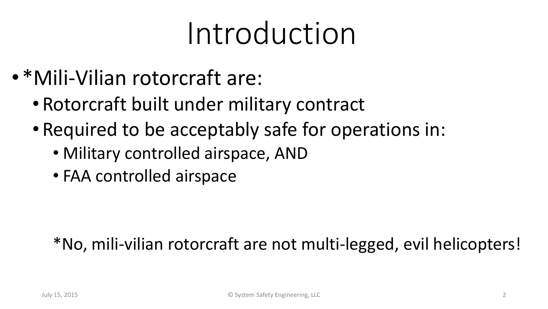#### Introduction

- •\*Mili-Vilian rotorcraft are:
	- Rotorcraft built under military contract
	- Required to be acceptably safe for operations in:
		- Military controlled airspace, AND
		- FAA controlled airspace

#### \*No, mili-vilian rotorcraft are not multi-legged, evil helicopters!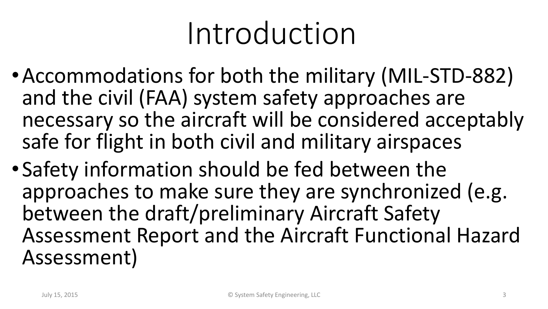#### Introduction

- •Accommodations for both the military (MIL-STD-882) and the civil (FAA) system safety approaches are necessary so the aircraft will be considered acceptably safe for flight in both civil and military airspaces
- •Safety information should be fed between the approaches to make sure they are synchronized (e.g. between the draft/preliminary Aircraft Safety Assessment Report and the Aircraft Functional Hazard Assessment)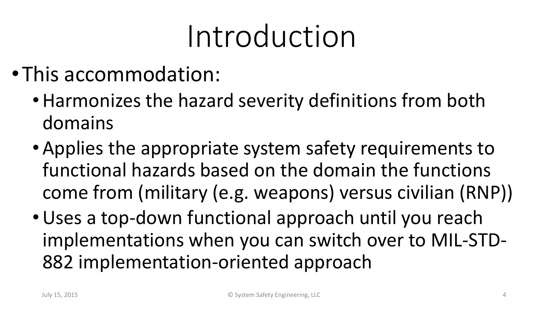#### Introduction

- •This accommodation:
	- •Harmonizes the hazard severity definitions from both domains
	- Applies the appropriate system safety requirements to functional hazards based on the domain the functions come from (military (e.g. weapons) versus civilian (RNP))
	- •Uses a top-down functional approach until you reach implementations when you can switch over to MIL-STD-882 implementation-oriented approach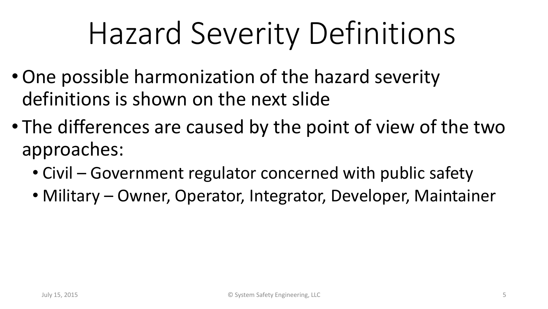### Hazard Severity Definitions

- •One possible harmonization of the hazard severity definitions is shown on the next slide
- The differences are caused by the point of view of the two approaches:
	- Civil Government regulator concerned with public safety
	- Military Owner, Operator, Integrator, Developer, Maintainer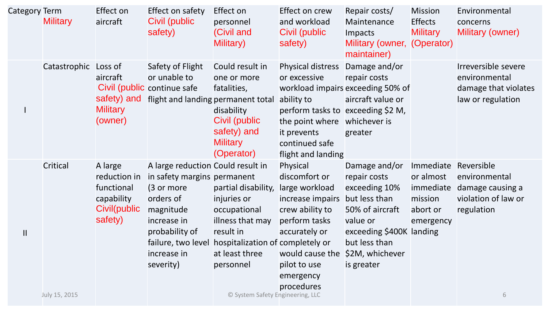| <b>Category Term</b> | <b>Military</b>           | Effect on<br>aircraft                                                          | Effect on safety<br>Civil (public<br>safety)                                                                                                                                                | Effect on<br>personnel<br>(Civil and<br>Military)                                                                                                                                          | Effect on crew<br>and workload<br>Civil (public<br>safety)                                                                                                                         | Repair costs/<br>Maintenance<br>Impacts<br>Military (owner, (Operator)<br>maintainer)                                                                                        | <b>Mission</b><br><b>Effects</b><br><b>Military</b>                     | Environmental<br>concerns<br>Military (owner)                                             |
|----------------------|---------------------------|--------------------------------------------------------------------------------|---------------------------------------------------------------------------------------------------------------------------------------------------------------------------------------------|--------------------------------------------------------------------------------------------------------------------------------------------------------------------------------------------|------------------------------------------------------------------------------------------------------------------------------------------------------------------------------------|------------------------------------------------------------------------------------------------------------------------------------------------------------------------------|-------------------------------------------------------------------------|-------------------------------------------------------------------------------------------|
|                      | Catastrophic Loss of      | aircraft<br>safety) and<br><b>Military</b><br>(owner)                          | Safety of Flight<br>or unable to<br>Civil (public continue safe<br>flight and landing permanent total                                                                                       | Could result in<br>one or more<br>fatalities,<br>disability<br>Civil (public<br>safety) and<br><b>Military</b><br>(Operator)                                                               | Physical distress<br>or excessive<br>ability to<br>perform tasks to exceeding \$2 M,<br>the point where<br>it prevents<br>continued safe<br>flight and landing                     | Damage and/or<br>repair costs<br>workload impairs exceeding 50% of<br>aircraft value or<br>whichever is<br>greater                                                           |                                                                         | Irreversible severe<br>environmental<br>damage that violates<br>law or regulation         |
| $\mathbf{  }$        | Critical<br>July 15, 2015 | A large<br>reduction in<br>functional<br>capability<br>Civil(public<br>safety) | A large reduction Could result in<br>in safety margins permanent<br>(3 or more<br>orders of<br>magnitude<br>increase in<br>probability of<br>failure, two level<br>increase in<br>severity) | partial disability,<br>injuries or<br>occupational<br>illness that may<br>result in<br>hospitalization of completely or<br>at least three<br>personnel<br>© System Safety Engineering, LLC | Physical<br>discomfort or<br>large workload<br>increase impairs<br>crew ability to<br>perform tasks<br>accurately or<br>would cause the<br>pilot to use<br>emergency<br>procedures | Damage and/or<br>repair costs<br>exceeding 10%<br>but less than<br>50% of aircraft<br>value or<br>exceeding \$400K landing<br>but less than<br>\$2M, whichever<br>is greater | Immediate<br>or almost<br>immediate<br>mission<br>abort or<br>emergency | Reversible<br>environmental<br>damage causing a<br>violation of law or<br>regulation<br>6 |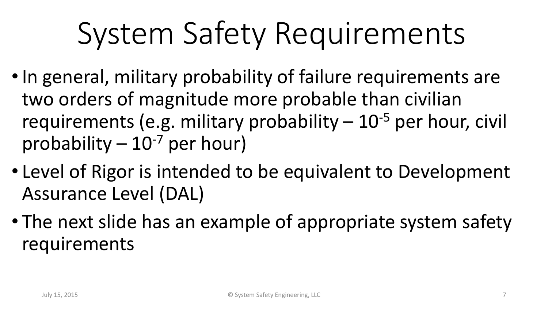# System Safety Requirements

- •In general, military probability of failure requirements are two orders of magnitude more probable than civilian requirements (e.g. military probability  $-10^{-5}$  per hour, civil probability  $-10^{-7}$  per hour)
- Level of Rigor is intended to be equivalent to Development Assurance Level (DAL)
- The next slide has an example of appropriate system safety requirements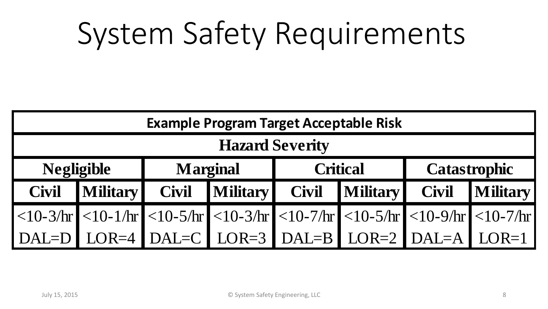### System Safety Requirements

| <b>Example Program Target Acceptable Risk</b> |                |                 |                                                                                                         |                 |  |                     |          |  |  |  |  |  |
|-----------------------------------------------|----------------|-----------------|---------------------------------------------------------------------------------------------------------|-----------------|--|---------------------|----------|--|--|--|--|--|
| <b>Hazard Severity</b>                        |                |                 |                                                                                                         |                 |  |                     |          |  |  |  |  |  |
| <b>Negligible</b>                             |                | <b>Marginal</b> |                                                                                                         | <b>Critical</b> |  | <b>Catastrophic</b> |          |  |  |  |  |  |
| <b>Civil</b>                                  | Military Civil |                 | Military Civil Military                                                                                 |                 |  | <b>Civil</b>        | Military |  |  |  |  |  |
|                                               |                |                 | $ $ <10-3/hr $ $ <10-1/hr $ $ <10-5/hr $ $ <10-3/hr $ $ <10-7/hr $ $ <10-5/hr $ $ <10-9/hr $ $ <10-7/hr |                 |  |                     |          |  |  |  |  |  |
|                                               |                |                 | $DAL=D$ LOR=4 DAL=C LOR=3 DAL=B LOR=2 DAL=A LOR=1                                                       |                 |  |                     |          |  |  |  |  |  |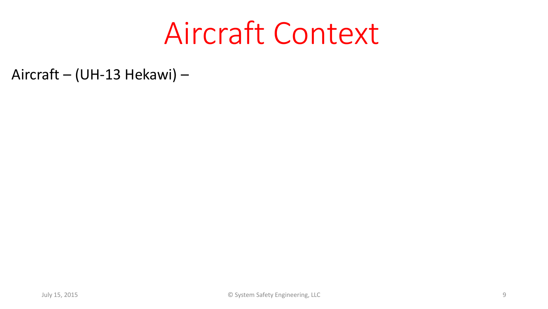#### Aircraft Context

Aircraft – (UH-13 Hekawi) –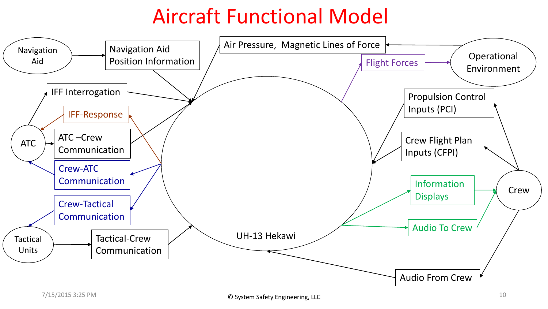#### Aircraft Functional Model

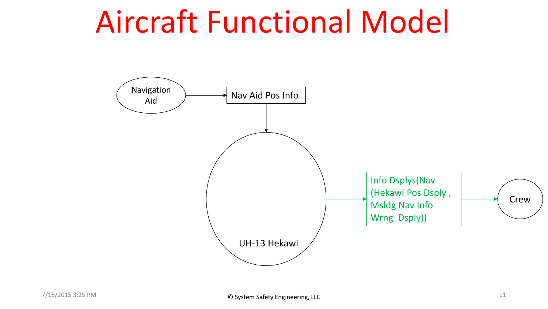#### Aircraft Functional Model

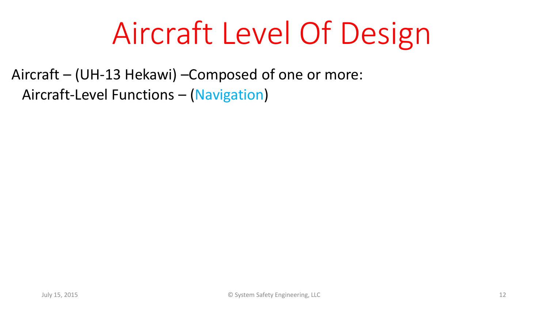#### Aircraft Level Of Design

Aircraft – (UH-13 Hekawi) –Composed of one or more: Aircraft-Level Functions – (Navigation)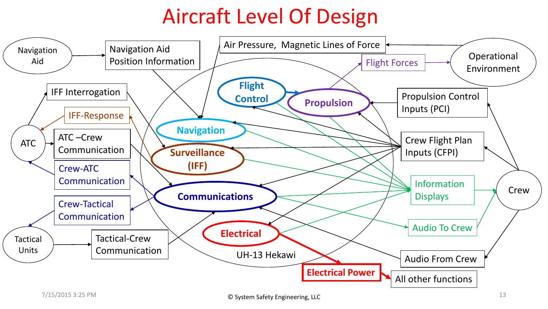#### Aircraft Level Of Design

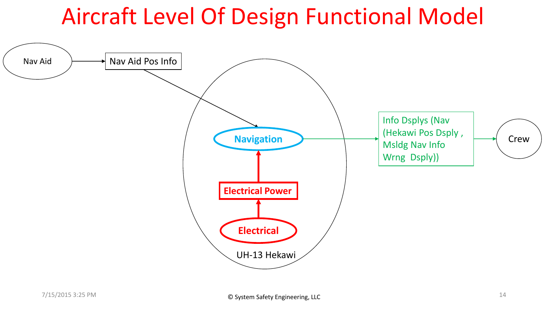#### Aircraft Level Of Design Functional Model

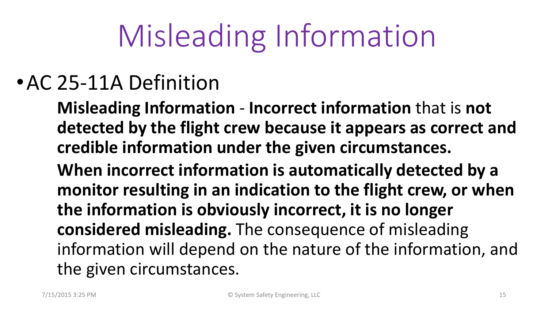# Misleading Information

#### •AC 25-11A Definition

**Misleading Information** - **Incorrect information** that is **not detected by the flight crew because it appears as correct and credible information under the given circumstances. When incorrect information is automatically detected by a monitor resulting in an indication to the flight crew, or when the information is obviously incorrect, it is no longer considered misleading.** The consequence of misleading information will depend on the nature of the information, and the given circumstances.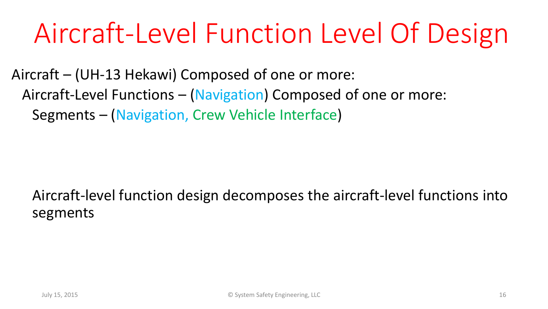#### Aircraft-Level Function Level Of Design

Aircraft – (UH-13 Hekawi) Composed of one or more: Aircraft-Level Functions – (Navigation) Composed of one or more: Segments – (Navigation, Crew Vehicle Interface)

#### Aircraft-level function design decomposes the aircraft-level functions into segments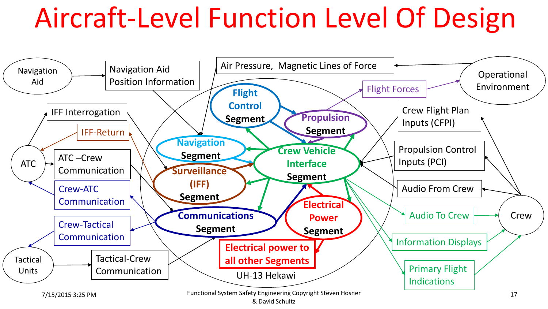#### Aircraft-Level Function Level Of Design

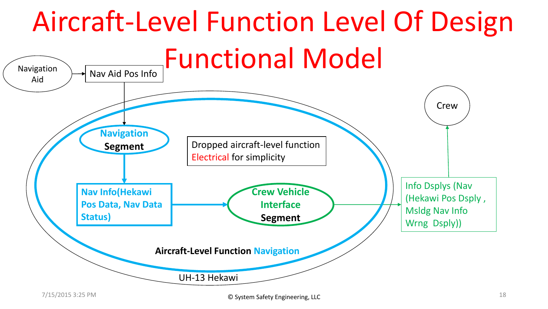#### Aircraft-Level Function Level Of Design Functional Model Navigation  $\rightarrow$  Nav Aid Pos Info Aid **Crew** UH-13 Hekawi **Aircraft-Level Function Navigation Navigation Segment Crew Vehicle Interface Segment** Dropped aircraft-level function Electrical for simplicity Info Dsplys (Nav (Hekawi Pos Dsply , Msldg Nav Info Wrng Dsply)) **Nav Info(Hekawi Pos Data, Nav Data Status)**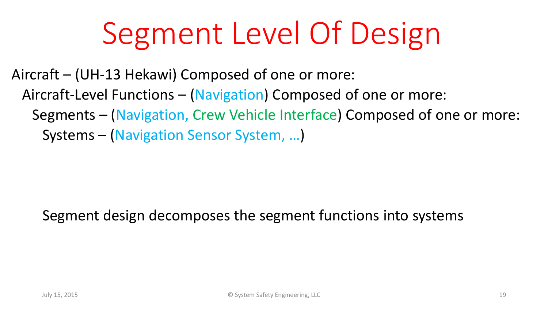# Segment Level Of Design

Aircraft – (UH-13 Hekawi) Composed of one or more: Aircraft-Level Functions – (Navigation) Composed of one or more: Segments – (Navigation, Crew Vehicle Interface) Composed of one or more: Systems – (Navigation Sensor System, …)

Segment design decomposes the segment functions into systems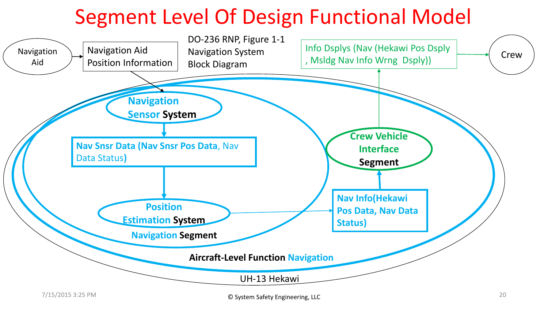#### Segment Level Of Design Functional Model

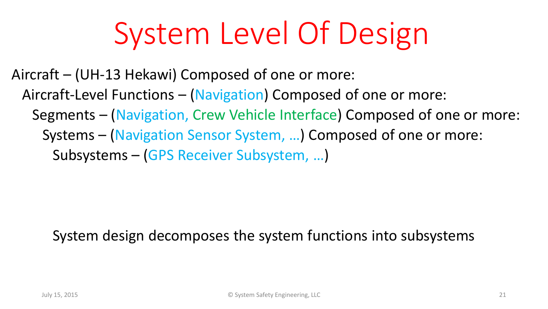### System Level Of Design

Aircraft – (UH-13 Hekawi) Composed of one or more: Aircraft-Level Functions – (Navigation) Composed of one or more: Segments – (Navigation, Crew Vehicle Interface) Composed of one or more: Systems – (Navigation Sensor System, …) Composed of one or more: Subsystems – (GPS Receiver Subsystem, …)

System design decomposes the system functions into subsystems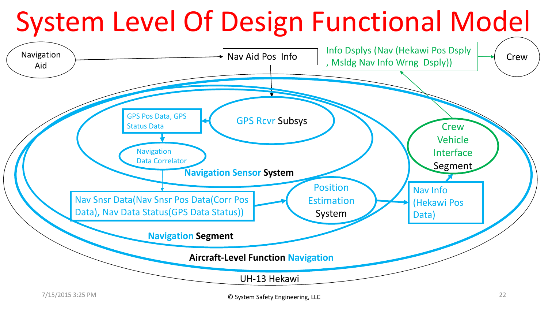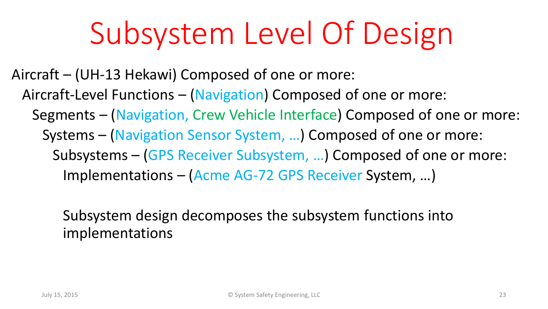#### Subsystem Level Of Design

Aircraft – (UH-13 Hekawi) Composed of one or more: Aircraft-Level Functions – (Navigation) Composed of one or more: Segments – (Navigation, Crew Vehicle Interface) Composed of one or more: Systems – (Navigation Sensor System, …) Composed of one or more: Subsystems – (GPS Receiver Subsystem, …) Composed of one or more: Implementations – (Acme AG-72 GPS Receiver System, …)

> Subsystem design decomposes the subsystem functions into implementations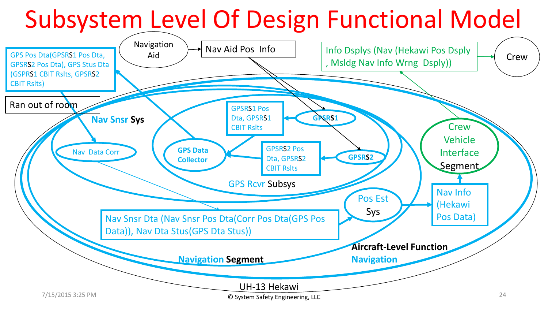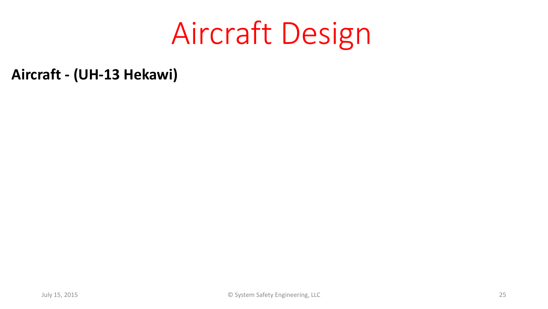#### Aircraft Design

**Aircraft - (UH-13 Hekawi)**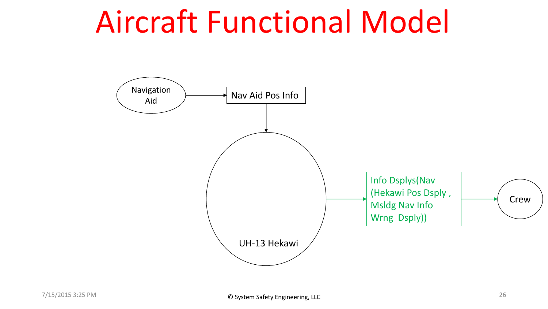#### Aircraft Functional Model

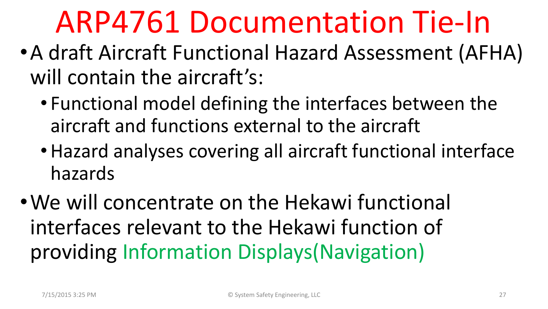#### ARP4761 Documentation Tie-In

- •A draft Aircraft Functional Hazard Assessment (AFHA) will contain the aircraft's:
	- Functional model defining the interfaces between the aircraft and functions external to the aircraft
	- •Hazard analyses covering all aircraft functional interface hazards
- •We will concentrate on the Hekawi functional interfaces relevant to the Hekawi function of providing Information Displays(Navigation)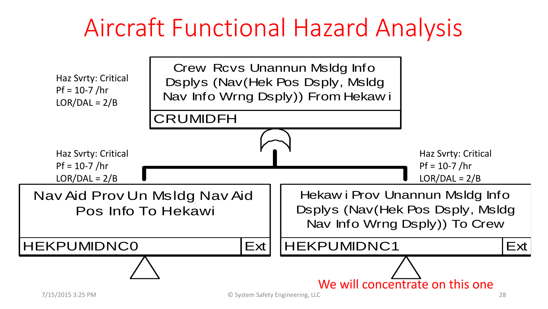#### Aircraft Functional Hazard Analysis

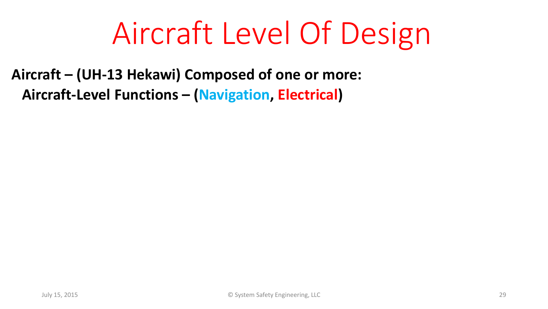#### Aircraft Level Of Design

**Aircraft – (UH-13 Hekawi) Composed of one or more: Aircraft-Level Functions – (Navigation, Electrical)**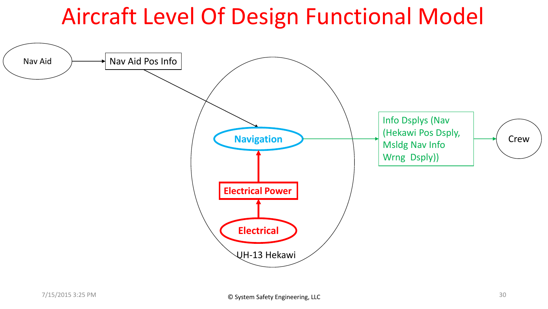#### Aircraft Level Of Design Functional Model

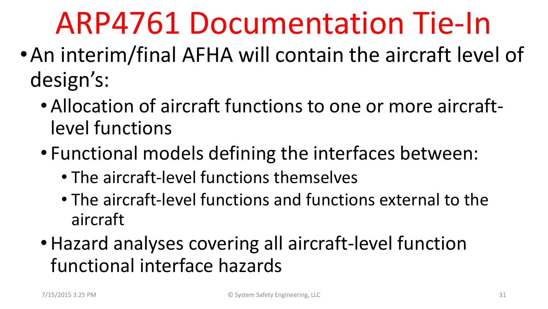#### ARP4761 Documentation Tie-In

- •An interim/final AFHA will contain the aircraft level of design's:
	- Allocation of aircraft functions to one or more aircraftlevel functions
	- Functional models defining the interfaces between:
		- The aircraft-level functions themselves
		- The aircraft-level functions and functions external to the aircraft
	- •Hazard analyses covering all aircraft-level function functional interface hazards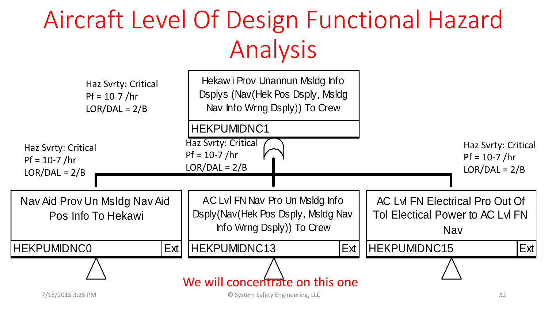#### JI DESIGN FUN<br>Analysis<br>Hekawi Prov Unannun Msldg Info<br>Dsplys (Nav(Hek Pos Dsply, Msldg Aircraft Level Of Design Functional Hazard Analysis

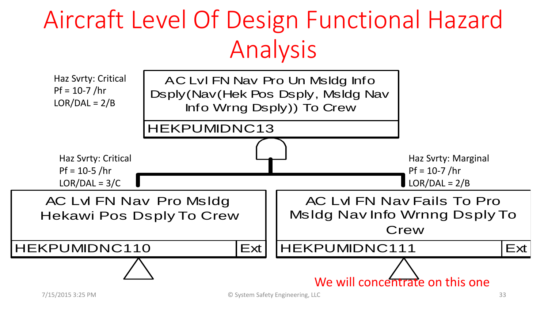#### Aircraft Level Of Design Functional Hazard Analysis

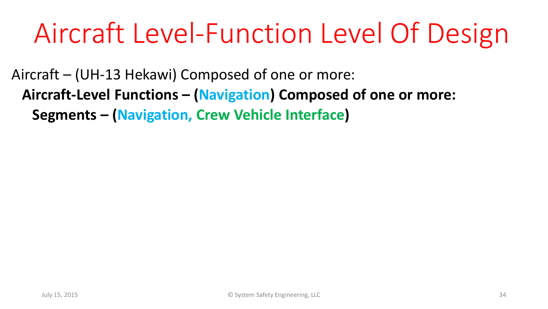#### Aircraft Level-Function Level Of Design

Aircraft – (UH-13 Hekawi) Composed of one or more: **Aircraft-Level Functions – (Navigation) Composed of one or more: Segments – (Navigation, Crew Vehicle Interface)**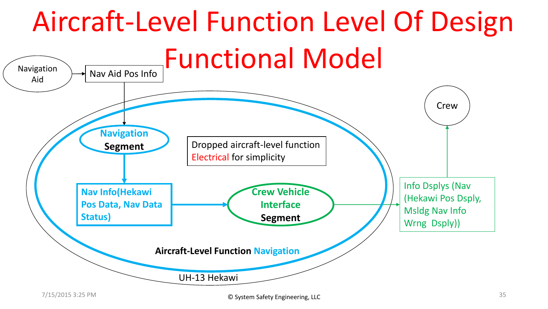#### Aircraft-Level Function Level Of Design Functional Model Navigation  $\rightarrow$  Nav Aid Pos Info Aid **Crew** UH-13 Hekawi **Aircraft-Level Function Navigation Navigation Segment Crew Vehicle Interface Segment Nav Info(Hekawi Pos Data, Nav Data Status)** Dropped aircraft-level function Electrical for simplicity Info Dsplys (Nav (Hekawi Pos Dsply, Msldg Nav Info Wrng Dsply))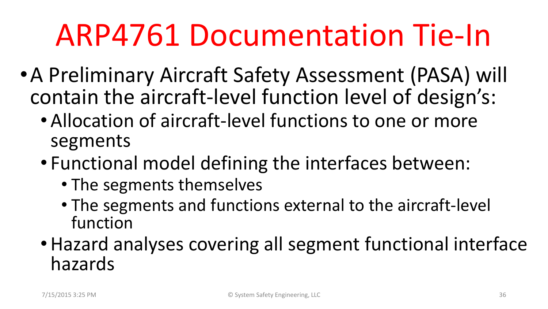#### ARP4761 Documentation Tie-In

- •A Preliminary Aircraft Safety Assessment (PASA) will contain the aircraft-level function level of design's:
	- Allocation of aircraft-level functions to one or more segments
	- Functional model defining the interfaces between:
		- The segments themselves
		- The segments and functions external to the aircraft-level function
	- •Hazard analyses covering all segment functional interface hazards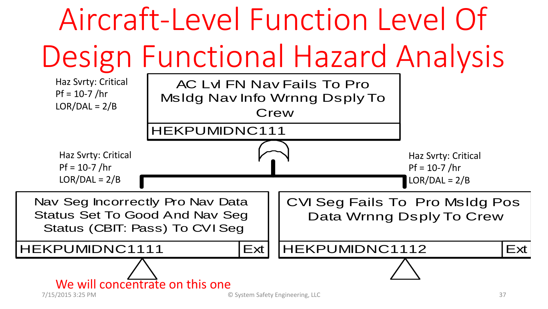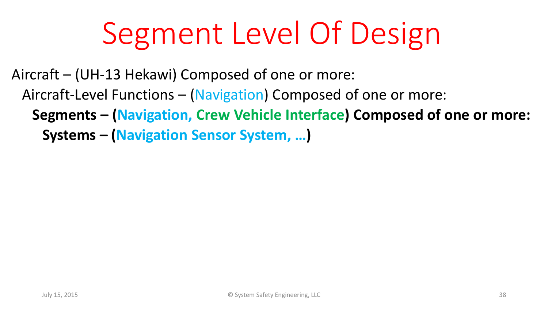# Segment Level Of Design

Aircraft – (UH-13 Hekawi) Composed of one or more: Aircraft-Level Functions – (Navigation) Composed of one or more: **Segments – (Navigation, Crew Vehicle Interface) Composed of one or more: Systems – (Navigation Sensor System, …)**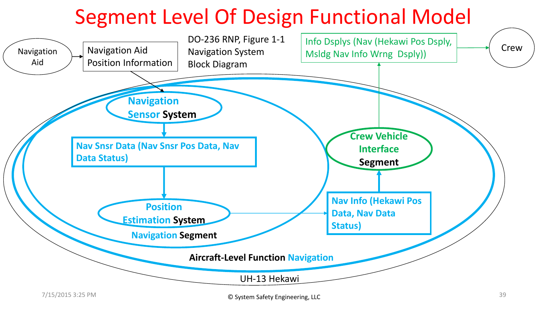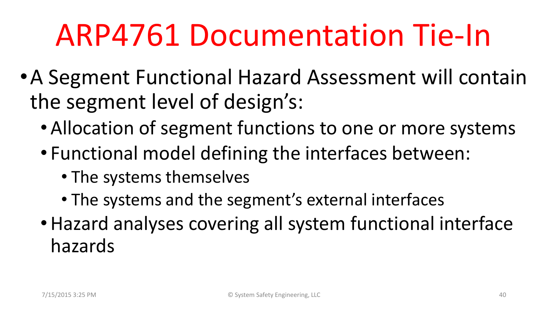#### ARP4761 Documentation Tie-In

- •A Segment Functional Hazard Assessment will contain the segment level of design's:
	- Allocation of segment functions to one or more systems
	- Functional model defining the interfaces between:
		- The systems themselves
		- The systems and the segment's external interfaces
	- •Hazard analyses covering all system functional interface hazards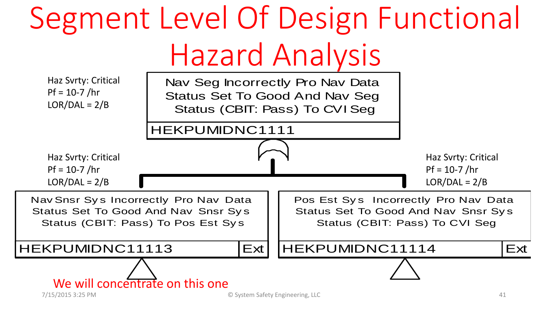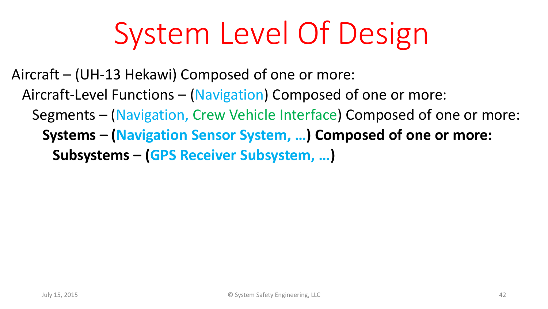## System Level Of Design

Aircraft – (UH-13 Hekawi) Composed of one or more: Aircraft-Level Functions – (Navigation) Composed of one or more: Segments – (Navigation, Crew Vehicle Interface) Composed of one or more: **Systems – (Navigation Sensor System, …) Composed of one or more: Subsystems – (GPS Receiver Subsystem, …)**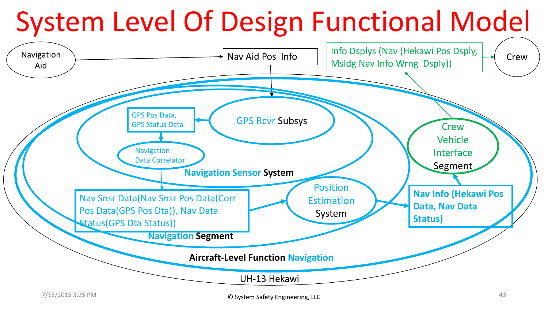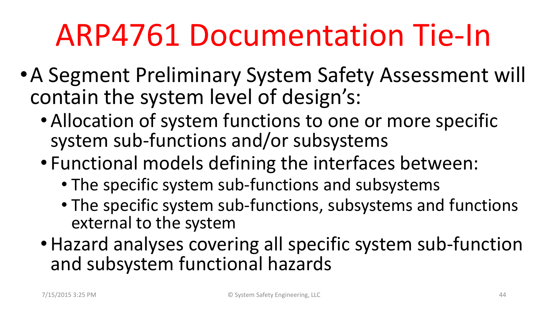#### ARP4761 Documentation Tie-In

- •A Segment Preliminary System Safety Assessment will contain the system level of design's:
	- Allocation of system functions to one or more specific system sub-functions and/or subsystems
	- Functional models defining the interfaces between:
		- The specific system sub-functions and subsystems
		- The specific system sub-functions, subsystems and functions external to the system
	- •Hazard analyses covering all specific system sub-function and subsystem functional hazards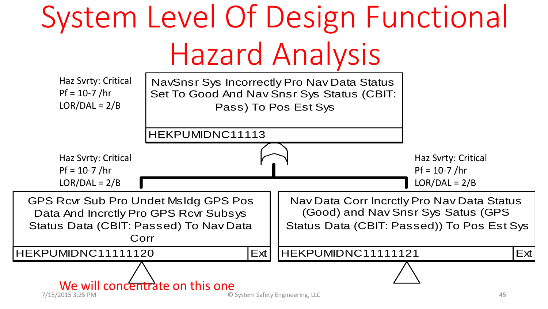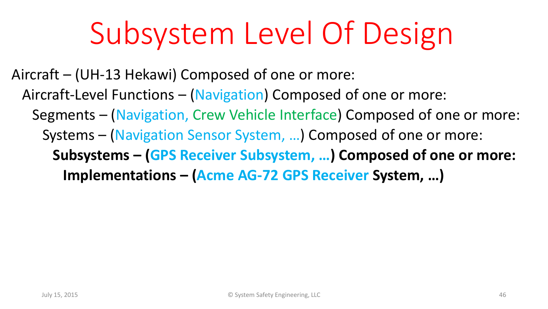#### Subsystem Level Of Design

Aircraft – (UH-13 Hekawi) Composed of one or more: Aircraft-Level Functions – (Navigation) Composed of one or more: Segments – (Navigation, Crew Vehicle Interface) Composed of one or more: Systems – (Navigation Sensor System, …) Composed of one or more: **Subsystems – (GPS Receiver Subsystem, …) Composed of one or more: Implementations – (Acme AG-72 GPS Receiver System, …)**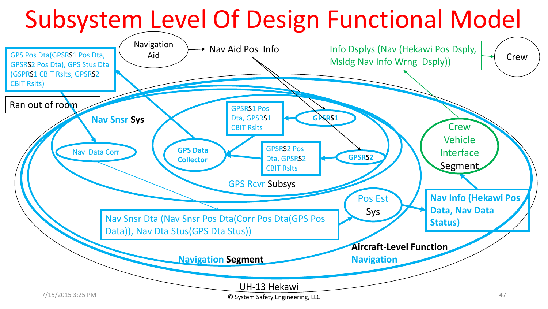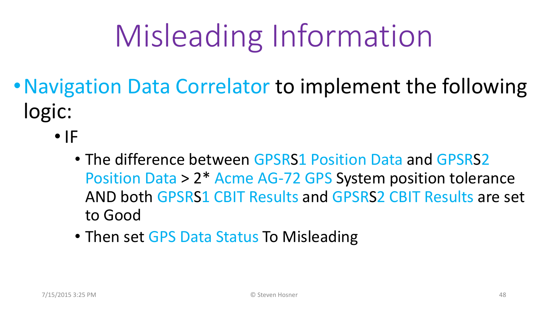# Misleading Information

- Navigation Data Correlator to implement the following logic:
	- $\bullet$  IF
		- The difference between GPSRS1 Position Data and GPSRS2 Position Data > 2\* Acme AG-72 GPS System position tolerance AND both GPSRS1 CBIT Results and GPSRS2 CBIT Results are set to Good
		- Then set GPS Data Status To Misleading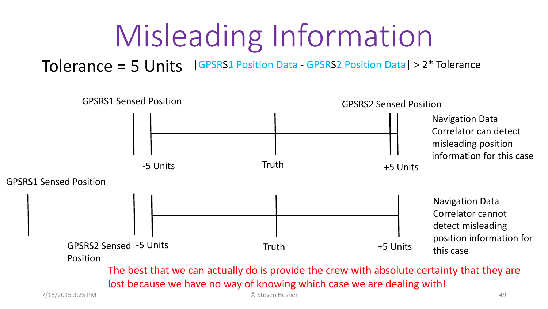### Misleading Information

#### Tolerance = 5 Units |GPSRS1 Position Data - GPSRS2 Position Data| > 2\* Tolerance

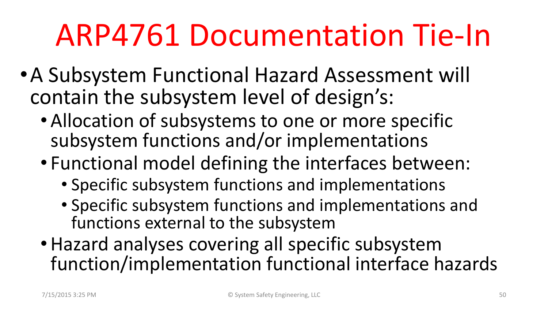#### ARP4761 Documentation Tie-In

- •A Subsystem Functional Hazard Assessment will contain the subsystem level of design's:
	- Allocation of subsystems to one or more specific subsystem functions and/or implementations
	- Functional model defining the interfaces between:
		- Specific subsystem functions and implementations
		- Specific subsystem functions and implementations and functions external to the subsystem
	- •Hazard analyses covering all specific subsystem function/implementation functional interface hazards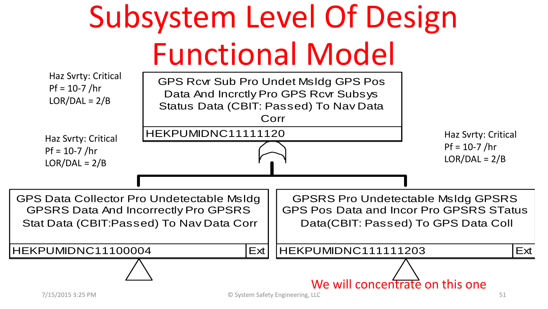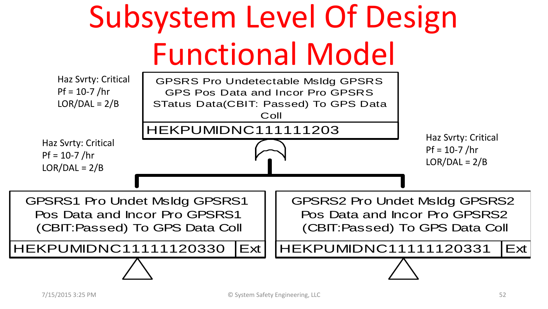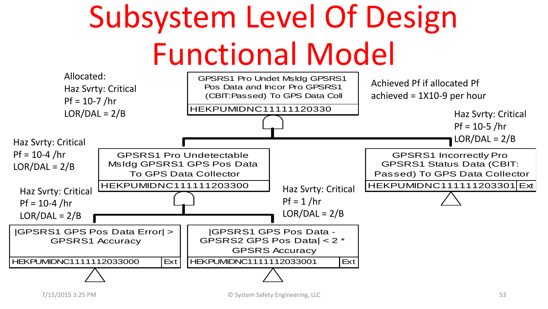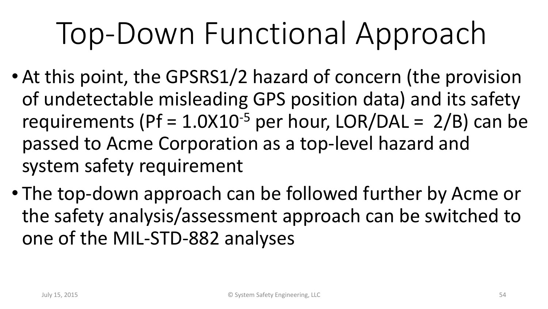# Top-Down Functional Approach

- At this point, the GPSRS1/2 hazard of concern (the provision of undetectable misleading GPS position data) and its safety requirements (Pf =  $1.0X10^{-5}$  per hour, LOR/DAL =  $2/B$ ) can be passed to Acme Corporation as a top-level hazard and system safety requirement
- The top-down approach can be followed further by Acme or the safety analysis/assessment approach can be switched to one of the MIL-STD-882 analyses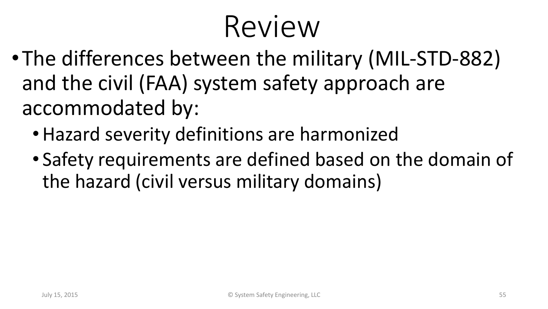#### Review

- •The differences between the military (MIL-STD-882) and the civil (FAA) system safety approach are accommodated by:
	- •Hazard severity definitions are harmonized
	- Safety requirements are defined based on the domain of the hazard (civil versus military domains)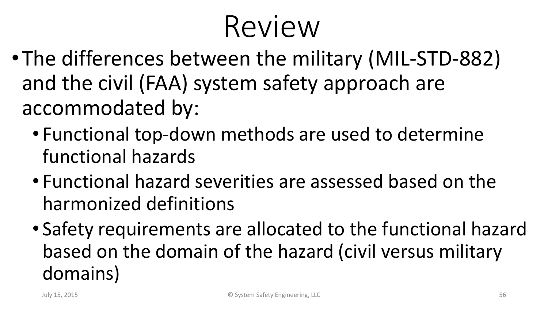#### Review

- •The differences between the military (MIL-STD-882) and the civil (FAA) system safety approach are accommodated by:
	- Functional top-down methods are used to determine functional hazards
	- Functional hazard severities are assessed based on the harmonized definitions
	- Safety requirements are allocated to the functional hazard based on the domain of the hazard (civil versus military domains)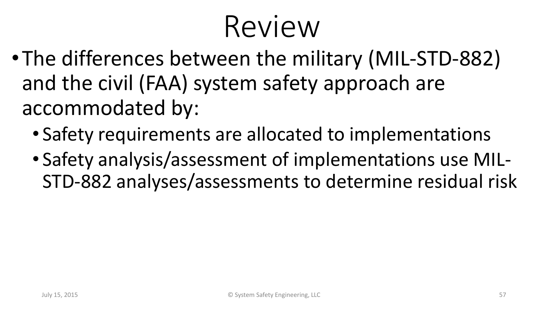#### Review

- •The differences between the military (MIL-STD-882) and the civil (FAA) system safety approach are accommodated by:
	- Safety requirements are allocated to implementations
	- Safety analysis/assessment of implementations use MIL-STD-882 analyses/assessments to determine residual risk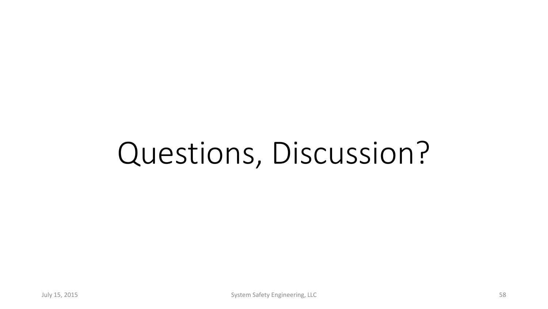### Questions, Discussion?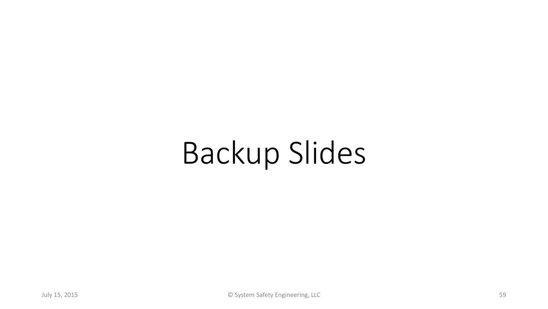### Backup Slides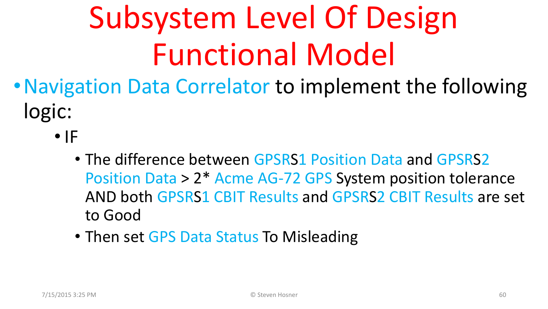- Navigation Data Correlator to implement the following logic:
	- $\bullet$  IF
		- The difference between GPSRS1 Position Data and GPSRS2 Position Data > 2\* Acme AG-72 GPS System position tolerance AND both GPSRS1 CBIT Results and GPSRS2 CBIT Results are set to Good
		- Then set GPS Data Status To Misleading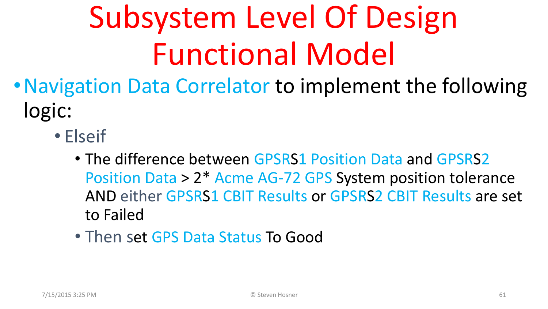- •Navigation Data Correlator to implement the following logic:
	- Elseif
		- The difference between GPSRS1 Position Data and GPSRS2 Position Data > 2\* Acme AG-72 GPS System position tolerance AND either GPSRS1 CBIT Results or GPSRS2 CBIT Results are set to Failed
		- Then set GPS Data Status To Good